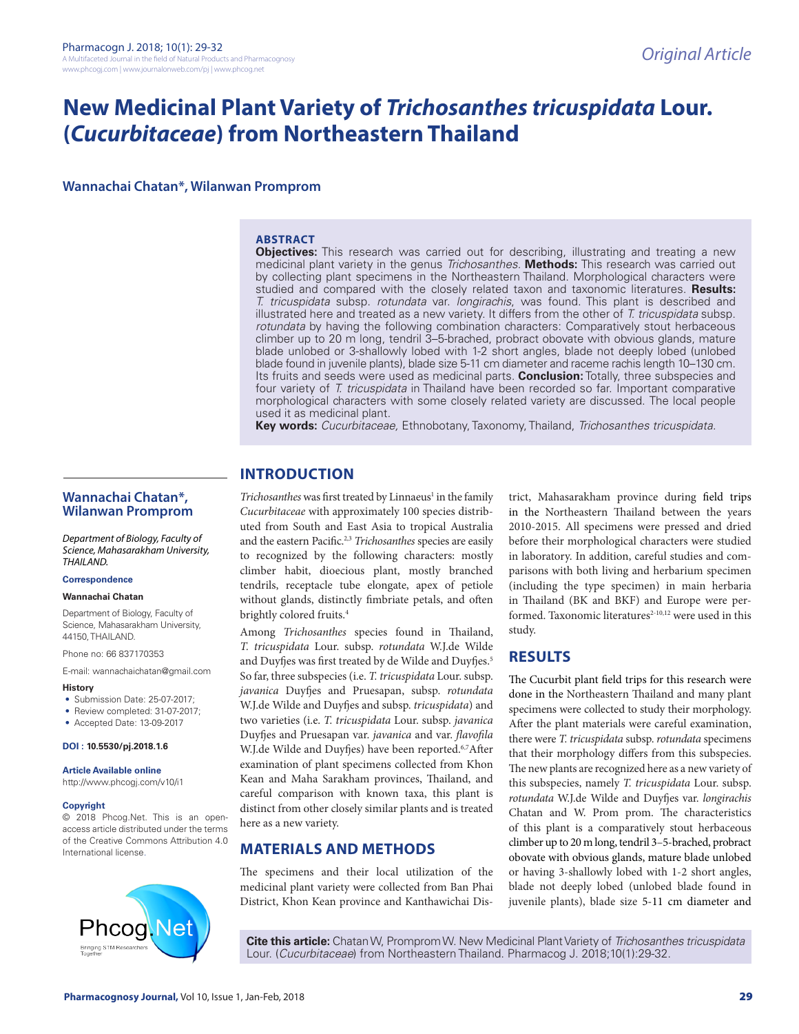# **New Medicinal Plant Variety of** *Trichosanthes tricuspidata* **Lour. (***Cucurbitaceae***) from Northeastern Thailand**

**Wannachai Chatan\*, Wilanwan Promprom**

## **ABSTRACT**

**Objectives:** This research was carried out for describing, illustrating and treating a new medicinal plant variety in the genus *Trichosanthes.* **Methods:** This research was carried out by collecting plant specimens in the Northeastern Thailand. Morphological characters were studied and compared with the closely related taxon and taxonomic literatures. **Results:**  *T. tricuspidata* subsp. *rotundata* var. *longirachis*, was found. This plant is described and illustrated here and treated as a new variety. It differs from the other of *T. tricuspidata* subsp. *rotundata* by having the following combination characters: Comparatively stout herbaceous climber up to 20 m long, tendril 3–5-brached, probract obovate with obvious glands, mature blade unlobed or 3-shallowly lobed with 1-2 short angles, blade not deeply lobed (unlobed blade found in juvenile plants), blade size 5-11 cm diameter and raceme rachis length 10–130 cm. Its fruits and seeds were used as medicinal parts. **Conclusion:** Totally, three subspecies and four variety of *T. tricuspidata* in Thailand have been recorded so far. Important comparative morphological characters with some closely related variety are discussed. The local people used it as medicinal plant.

**Key words:** *Cucurbitaceae,* Ethnobotany, Taxonomy, Thailand, *Trichosanthes tricuspidata.*

### **Wannachai Chatan\*, Wilanwan Promprom**

*Department of Biology, Faculty of Science, Mahasarakham University, THAILAND.*

#### **Correspondence**

#### **Wannachai Chatan**

Department of Biology, Faculty of Science, Mahasarakham University, 44150, THAILAND.

Phone no: 66 837170353

E-mail: wannachaichatan@gmail.com

#### **History**

- Submission Date: 25-07-2017;
- Review completed: 31-07-2017:
- Accepted Date: 13-09-2017

#### **DOI : 10.5530/pj.2018.1.6**

# **Article Available online**

http://www.phcogj.com/v10/i1

#### **Copyright**

© 2018 Phcog.Net. This is an openaccess article distributed under the terms of the Creative Commons Attribution 4.0 International license.



# **INTRODUCTION**

Trichosanthes was first treated by Linnaeus<sup>1</sup> in the family *Cucurbitaceae* with approximately 100 species distributed from South and East Asia to tropical Australia and the eastern Pacific.2,3 *Trichosanthes* species are easily to recognized by the following characters: mostly climber habit, dioecious plant, mostly branched tendrils, receptacle tube elongate, apex of petiole without glands, distinctly fimbriate petals, and often brightly colored fruits.4

Among *Trichosanthes* species found in Thailand, *T. tricuspidata* Lour. subsp. *rotundata* W.J.de Wilde and Duyfjes was first treated by de Wilde and Duyfjes.<sup>5</sup> So far, three subspecies (i.e. *T. tricuspidata* Lour. subsp. *javanica* Duyfjes and Pruesapan, subsp. *rotundata* W.J.de Wilde and Duyfjes and subsp. *tricuspidata*) and two varieties (i.e. *T. tricuspidata* Lour. subsp. *javanica* Duyfjes and Pruesapan var. *javanica* and var. *flavofila* W.J.de Wilde and Duyfjes) have been reported.<sup>6,7</sup>After examination of plant specimens collected from Khon Kean and Maha Sarakham provinces, Thailand, and careful comparison with known taxa, this plant is distinct from other closely similar plants and is treated here as a new variety.

# **MATERIALS AND METHODS**

The specimens and their local utilization of the medicinal plant variety were collected from Ban Phai District, Khon Kean province and Kanthawichai District, Mahasarakham province during field trips in the Northeastern Thailand between the years 2010-2015. All specimens were pressed and dried before their morphological characters were studied in laboratory. In addition, careful studies and comparisons with both living and herbarium specimen (including the type specimen) in main herbaria in Thailand (BK and BKF) and Europe were performed. Taxonomic literatures<sup>2-10,12</sup> were used in this study.

# **RESULTS**

The Cucurbit plant field trips for this research were done in the Northeastern Thailand and many plant specimens were collected to study their morphology. After the plant materials were careful examination, there were *T. tricuspidata* subsp. *rotundata* specimens that their morphology differs from this subspecies. The new plants are recognized here as a new variety of this subspecies, namely *T. tricuspidata* Lour. subsp. *rotundata* W.J.de Wilde and Duyfjes var. *longirachis* Chatan and W. Prom prom. The characteristics of this plant is a comparatively stout herbaceous climber up to 20 m long, tendril 3–5-brached, probract obovate with obvious glands, mature blade unlobed or having 3-shallowly lobed with 1-2 short angles, blade not deeply lobed (unlobed blade found in juvenile plants), blade size 5-11 cm diameter and

**Cite this article:** Chatan W, Promprom W. New Medicinal Plant Variety of *Trichosanthes tricuspidata* Lour. (*Cucurbitaceae*) from Northeastern Thailand. Pharmacog J. 2018;10(1):29-32.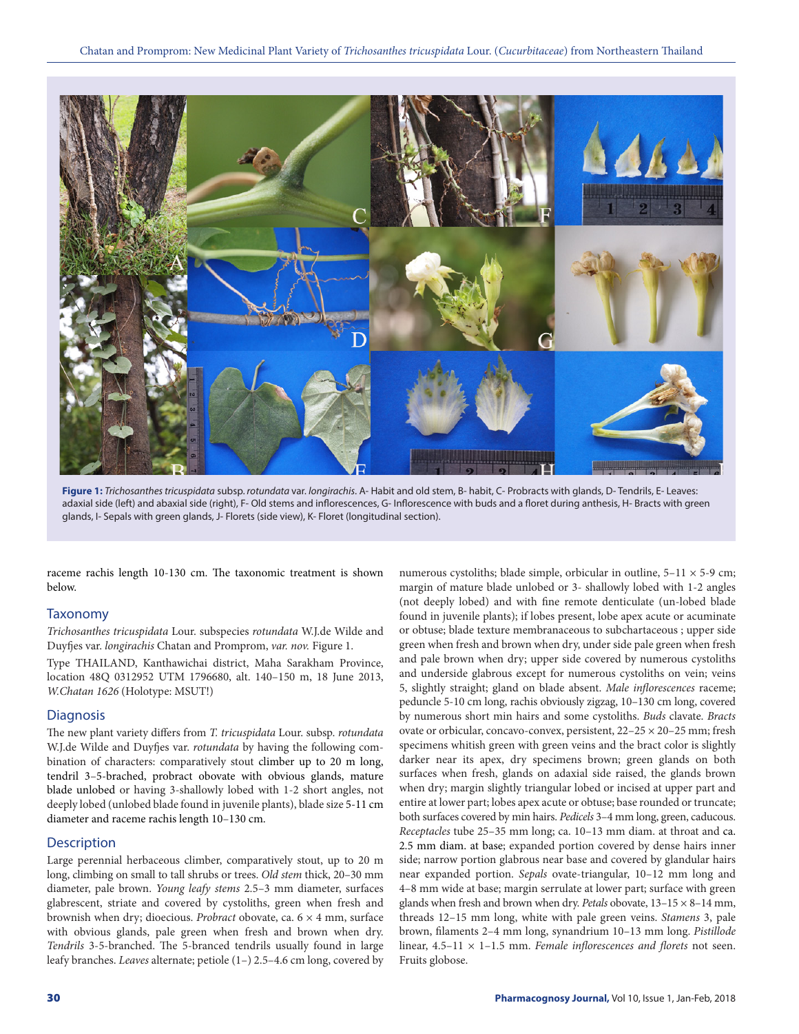

**Figure 1:** *Trichosanthes tricuspidata* subsp. *rotundata* var. *longirachis*. A- Habit and old stem, B- habit, C- Probracts with glands, D- Tendrils, E- Leaves: adaxial side (left) and abaxial side (right), F- Old stems and inflorescences, G- Inflorescence with buds and a floret during anthesis, H- Bracts with green glands, I- Sepals with green glands, J- Florets (side view), K- Floret (longitudinal section).

raceme rachis length 10-130 cm. The taxonomic treatment is shown below.

# Taxonomy

*Trichosanthes tricuspidata* Lour. subspecies *rotundata* W.J.de Wilde and Duyfjes var. *longirachis* Chatan and Promprom, *var. nov.* Figure 1.

Type THAILAND, Kanthawichai district, Maha Sarakham Province, location 48Q 0312952 UTM 1796680, alt. 140–150 m, 18 June 2013, *W.Chatan 1626* (Holotype: MSUT!)

#### **Diagnosis**

The new plant variety differs from *T. tricuspidata* Lour. subsp. *rotundata* W.J.de Wilde and Duyfjes var. *rotundata* by having the following combination of characters: comparatively stout climber up to 20 m long, tendril 3–5-brached, probract obovate with obvious glands, mature blade unlobed or having 3-shallowly lobed with 1-2 short angles, not deeply lobed (unlobed blade found in juvenile plants), blade size 5-11 cm diameter and raceme rachis length 10–130 cm.

### **Description**

Large perennial herbaceous climber, comparatively stout, up to 20 m long, climbing on small to tall shrubs or trees. *Old stem* thick, 20–30 mm diameter, pale brown. *Young leafy stems* 2.5–3 mm diameter, surfaces glabrescent, striate and covered by cystoliths, green when fresh and brownish when dry; dioecious. *Probract* obovate, ca. 6 × 4 mm, surface with obvious glands, pale green when fresh and brown when dry. *Tendrils* 3-5-branched. The 5-branced tendrils usually found in large leafy branches. *Leaves* alternate; petiole (1–) 2.5–4.6 cm long, covered by

numerous cystoliths; blade simple, orbicular in outline,  $5-11 \times 5-9$  cm; margin of mature blade unlobed or 3- shallowly lobed with 1-2 angles (not deeply lobed) and with fine remote denticulate (un-lobed blade found in juvenile plants); if lobes present, lobe apex acute or acuminate or obtuse; blade texture membranaceous to subchartaceous ; upper side green when fresh and brown when dry, under side pale green when fresh and pale brown when dry; upper side covered by numerous cystoliths and underside glabrous except for numerous cystoliths on vein; veins 5, slightly straight; gland on blade absent. *Male inflorescences* raceme; peduncle 5-10 cm long, rachis obviously zigzag, 10–130 cm long, covered by numerous short min hairs and some cystoliths. *Buds* clavate. *Bracts* ovate or orbicular, concavo-convex, persistent, 22–25 × 20–25 mm; fresh specimens whitish green with green veins and the bract color is slightly darker near its apex, dry specimens brown; green glands on both surfaces when fresh, glands on adaxial side raised, the glands brown when dry; margin slightly triangular lobed or incised at upper part and entire at lower part; lobes apex acute or obtuse; base rounded or truncate; both surfaces covered by min hairs. *Pedicels* 3–4 mm long, green, caducous. *Receptacles* tube 25–35 mm long; ca. 10–13 mm diam. at throat and ca. 2.5 mm diam. at base; expanded portion covered by dense hairs inner side; narrow portion glabrous near base and covered by glandular hairs near expanded portion. *Sepals* ovate-triangular, 10–12 mm long and 4–8 mm wide at base; margin serrulate at lower part; surface with green glands when fresh and brown when dry. *Petals* obovate, 13–15 × 8–14 mm, threads 12–15 mm long, white with pale green veins. *Stamens* 3, pale brown, filaments 2–4 mm long, synandrium 10–13 mm long. *Pistillode* linear, 4.5–11 × 1–1.5 mm. *Female inflorescences and florets* not seen. Fruits globose.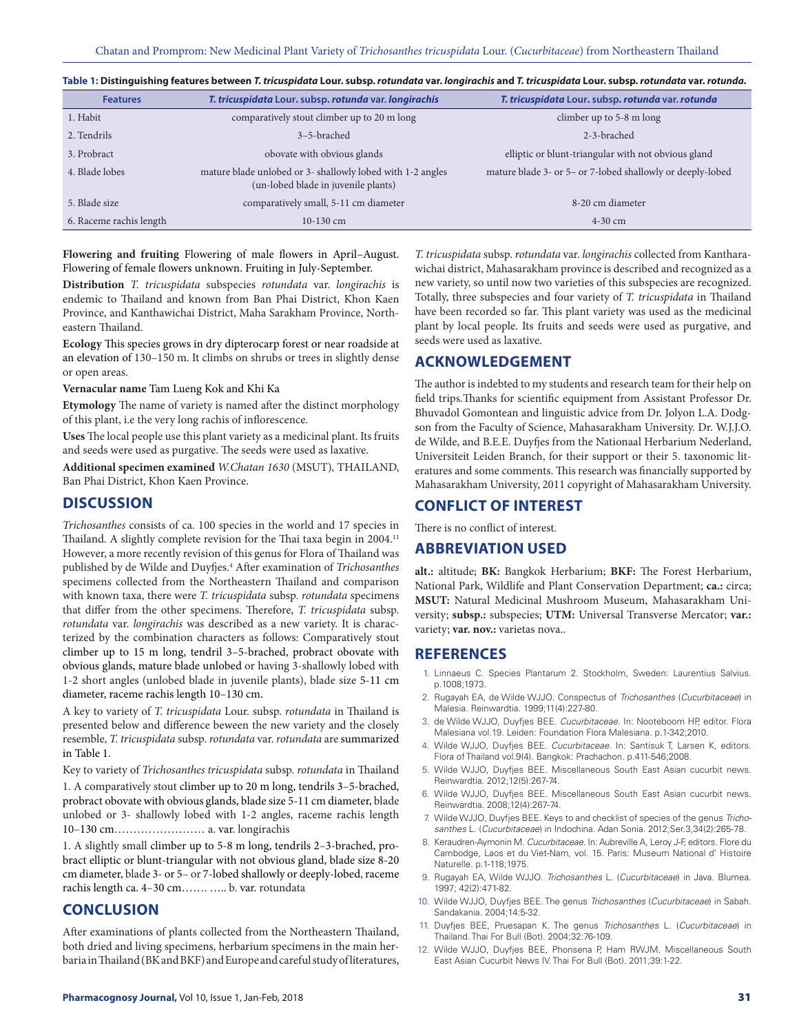| Table 1: Distinguishing features between <i>T. tricuspidata</i> Lour. subsp. <i>rotundata</i> var. longirachis and T. tricuspidata Lour. subsp. rotundata var. rotunda. |
|-------------------------------------------------------------------------------------------------------------------------------------------------------------------------|
|-------------------------------------------------------------------------------------------------------------------------------------------------------------------------|

| <b>Features</b>         | T. tricuspidata Lour. subsp. rotunda var. longirachis                                             | T. tricuspidata Lour. subsp. rotunda var. rotunda          |
|-------------------------|---------------------------------------------------------------------------------------------------|------------------------------------------------------------|
| 1. Habit                | comparatively stout climber up to 20 m long                                                       | climber up to 5-8 m long                                   |
| 2. Tendrils             | 3–5-brached                                                                                       | 2-3-brached                                                |
| 3. Probract             | obovate with obvious glands                                                                       | elliptic or blunt-triangular with not obvious gland        |
| 4. Blade lobes          | mature blade unlobed or 3- shallowly lobed with 1-2 angles<br>(un-lobed blade in juvenile plants) | mature blade 3- or 5- or 7-lobed shallowly or deeply-lobed |
| 5. Blade size           | comparatively small, 5-11 cm diameter                                                             | 8-20 cm diameter                                           |
| 6. Raceme rachis length | $10-130$ cm                                                                                       | $4-30$ cm                                                  |

**Flowering and fruiting** Flowering of male flowers in April–August. Flowering of female flowers unknown. Fruiting in July-September.

**Distribution** *T. tricuspidata* subspecies *rotundata* var. *longirachis* is endemic to Thailand and known from Ban Phai District, Khon Kaen Province, and Kanthawichai District, Maha Sarakham Province, Northeastern Thailand.

**Ecology** This species grows in dry dipterocarp forest or near roadside at an elevation of 130–150 m. It climbs on shrubs or trees in slightly dense or open areas.

#### **Vernacular name** Tam Lueng Kok and Khi Ka

**Etymology** The name of variety is named after the distinct morphology of this plant, i.e the very long rachis of inflorescence.

**Uses** The local people use this plant variety as a medicinal plant. Its fruits and seeds were used as purgative. The seeds were used as laxative.

**Additional specimen examined** *W.Chatan 1630* (MSUT)*,* THAILAND, Ban Phai District, Khon Kaen Province.

# **DISCUSSION**

*Trichosanthes* consists of ca. 100 species in the world and 17 species in Thailand. A slightly complete revision for the Thai taxa begin in 2004.<sup>11</sup> However, a more recently revision of this genus for Flora of Thailand was published by de Wilde and Duyfjes.4 After examination of *Trichosanthes* specimens collected from the Northeastern Thailand and comparison with known taxa, there were *T. tricuspidata* subsp. *rotundata* specimens that differ from the other specimens. Therefore, *T. tricuspidata* subsp. *rotundata* var. *longirachis* was described as a new variety. It is characterized by the combination characters as follows: Comparatively stout climber up to 15 m long, tendril 3–5-brached, probract obovate with obvious glands, mature blade unlobed or having 3-shallowly lobed with 1-2 short angles (unlobed blade in juvenile plants), blade size 5-11 cm diameter, raceme rachis length 10–130 cm.

A key to variety of *T. tricuspidata* Lour. subsp. *rotundata* in Thailand is presented below and difference beween the new variety and the closely resemble, *T. tricuspidata* subsp. *rotundata* var. *rotundata* are summarized in Table 1.

Key to variety of *Trichosanthes tricuspidata* subsp. *rotundata* in Thailand 1. A comparatively stout climber up to 20 m long, tendrils 3–5-brached, probract obovate with obvious glands, blade size 5-11 cm diameter, blade unlobed or 3- shallowly lobed with 1-2 angles, raceme rachis length 10–130 cm…………………… a. var. longirachis

1. A slightly small climber up to 5-8 m long, tendrils 2–3-brached, probract elliptic or blunt-triangular with not obvious gland, blade size 8-20 cm diameter, blade 3- or 5– or 7-lobed shallowly or deeply-lobed, raceme rachis length ca. 4–30 cm……. ….. b. var. rotundata

# **CONCLUSION**

After examinations of plants collected from the Northeastern Thailand, both dried and living specimens, herbarium specimens in the main herbaria in Thailand (BK and BKF) and Europe and careful study of literatures,

*T. tricuspidata* subsp. *rotundata* var. *longirachis* collected from Kantharawichai district, Mahasarakham province is described and recognized as a new variety, so until now two varieties of this subspecies are recognized. Totally, three subspecies and four variety of *T. tricuspidata* in Thailand have been recorded so far. This plant variety was used as the medicinal plant by local people. Its fruits and seeds were used as purgative, and seeds were used as laxative.

# **ACKNOWLEDGEMENT**

The author is indebted to my students and research team for their help on field trips.Thanks for scientific equipment from Assistant Professor Dr. Bhuvadol Gomontean and linguistic advice from Dr. Jolyon L.A. Dodgson from the Faculty of Science, Mahasarakham University. Dr. W.J.J.O. de Wilde, and B.E.E. Duyfjes from the Nationaal Herbarium Nederland, Universiteit Leiden Branch, for their support or their 5. taxonomic literatures and some comments. This research was financially supported by Mahasarakham University, 2011 copyright of Mahasarakham University.

# **CONFLICT OF INTEREST**

There is no conflict of interest.

#### **ABBREVIATION USED**

**alt.:** altitude; **BK:** Bangkok Herbarium; **BKF:** The Forest Herbarium, National Park, Wildlife and Plant Conservation Department; **ca.:** circa; **MSUT:** Natural Medicinal Mushroom Museum, Mahasarakham University; **subsp.:** subspecies; **UTM:** Universal Transverse Mercator; **var.:**  variety; **var. nov.:** varietas nova..

# **REFERENCES**

- 1. Linnaeus C. Species Plantarum 2. Stockholm, Sweden: Laurentius Salvius. p.1008;1973.
- 2. Rugayah EA, de Wilde WJJO. Conspectus of *Trichosanthes* (*Cucurbitaceae*) in Malesia. Reinwardtia. 1999;11(4):227-80.
- 3. de Wilde WJJO, Duyfjes BEE. *Cucurbitaceae*. In: Nooteboom HP, editor. Flora Malesiana vol.19. Leiden: Foundation Flora Malesiana. p.1-342;2010.
- 4. Wilde WJJO, Duyfjes BEE. *Cucurbitaceae*. In: Santisuk T, Larsen K, editors. Flora of Thailand vol.9(4). Bangkok: Prachachon. p.411-546;2008.
- 5. Wilde WJJO, Duyfjes BEE. Miscellaneous South East Asian cucurbit news. Reinwardtia. 2012;12(5):267-74.
- 6. Wilde WJJO, Duyfjes BEE. Miscellaneous South East Asian cucurbit news. Reinwardtia. 2008;12(4):267-74.
- 7. Wilde WJJO, Duyfjes BEE. Keys to and checklist of species of the genus *Trichosanthes* L. (*Cucurbitaceae*) in Indochina. Adan Sonia. 2012;Ser.3,34(2):265-78.
- 8. Keraudren-Aymonin M. *Cucurbitaceae*. In: Aubreville A, Leroy J-F, editors. Flore du Cambodge, Laos et du Viet-Nam, vol. 15. Paris: Museum National d' Histoire Naturelle. p.1-118;1975.
- 9. Rugayah EA, Wilde WJJO. *Trichosanthes* L. (*Cucurbitaceae*) in Java. Blumea. 1997; 42(2):471-82.
- 10. Wilde WJJO, Duyfjes BEE. The genus *Trichosanthes* (*Cucurbitaceae*) in Sabah. Sandakania. 2004;14:5-32.
- 11. Duyfjes BEE, Pruesapan K. The genus *Trichosanthes* L. (*Cucurbitaceae*) in Thailand. Thai For Bull (Bot). 2004;32:76-109.
- 12. Wilde WJJO, Duyfjes BEE, Phonsena P, Ham RWJM. Miscellaneous South East Asian Cucurbit News IV. Thai For Bull (Bot). 2011;39:1-22.